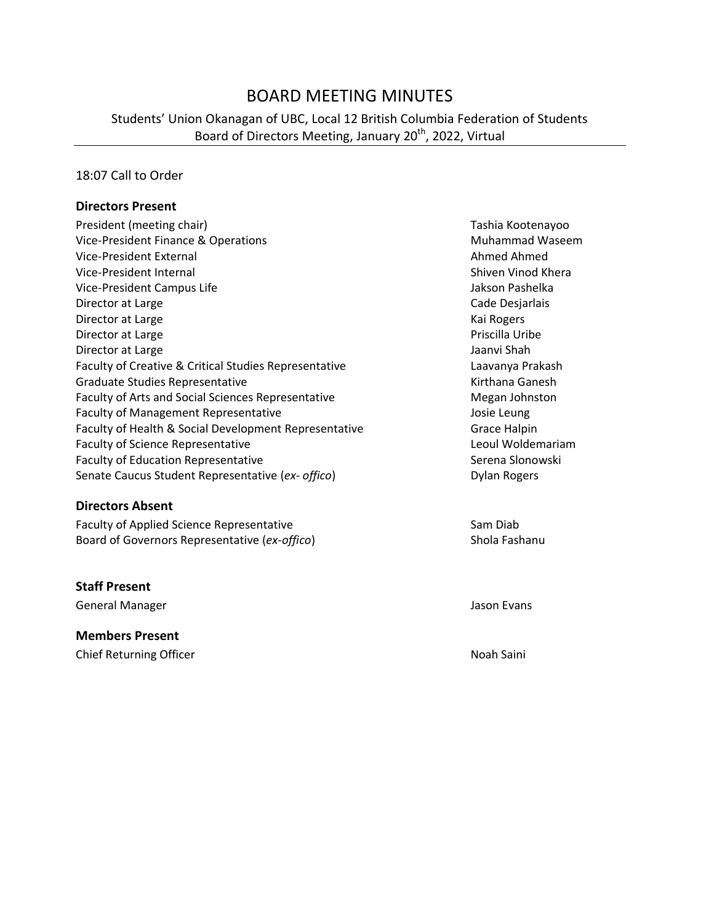# BOARD MEETING MINUTES

Students' Union Okanagan of UBC, Local 12 British Columbia Federation of Students Board of Directors Meeting, January 20<sup>th</sup>, 2022, Virtual

#### 18:07 Call to Order

#### **Directors Present**

| President (meeting chair)                                 | Tashia Kootenayoo   |
|-----------------------------------------------------------|---------------------|
| Vice-President Finance & Operations                       | Muhammad Waseem     |
| Vice-President External                                   | Ahmed Ahmed         |
| Vice-President Internal                                   | Shiven Vinod Khera  |
| Vice-President Campus Life                                | Jakson Pashelka     |
| Director at Large                                         | Cade Desjarlais     |
| Director at Large                                         | Kai Rogers          |
| Director at Large                                         | Priscilla Uribe     |
| Director at Large                                         | Jaanvi Shah         |
| Faculty of Creative & Critical Studies Representative     | Laavanya Prakash    |
| Graduate Studies Representative                           | Kirthana Ganesh     |
| <b>Faculty of Arts and Social Sciences Representative</b> | Megan Johnston      |
| <b>Faculty of Management Representative</b>               | Josie Leung         |
| Faculty of Health & Social Development Representative     | Grace Halpin        |
| <b>Faculty of Science Representative</b>                  | Leoul Woldemariam   |
| <b>Faculty of Education Representative</b>                | Serena Slonowski    |
| Senate Caucus Student Representative (ex- offico)         | <b>Dylan Rogers</b> |
|                                                           |                     |

#### **Directors Absent**

Faculty of Applied Science Representative Sam Diab Board of Governors Representative (ex-offico) Shola Fashanu

#### **Staff Present**

General Manager Jason Evans

#### **Members Present** Chief Returning Officer Noah Saini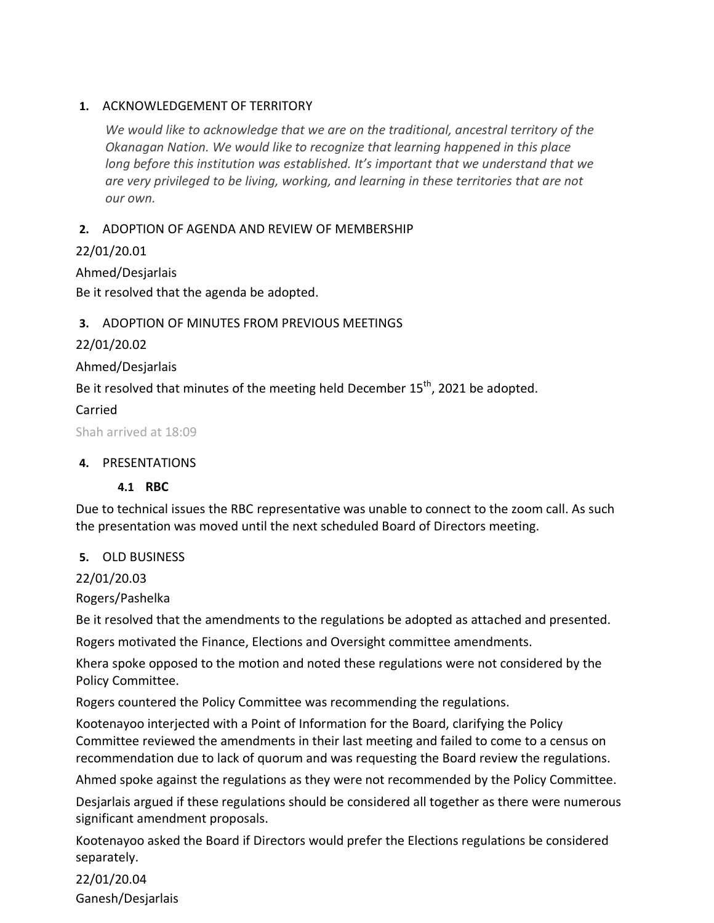#### **1.** ACKNOWLEDGEMENT OF TERRITORY

*We would like to acknowledge that we are on the traditional, ancestral territory of the Okanagan Nation. We would like to recognize that learning happened in this place long before this institution was established. It's important that we understand that we are very privileged to be living, working, and learning in these territories that are not our own.*

#### **2.** ADOPTION OF AGENDA AND REVIEW OF MEMBERSHIP

22/01/20.01

Ahmed/Desjarlais

Be it resolved that the agenda be adopted.

## **3.** ADOPTION OF MINUTES FROM PREVIOUS MEETINGS

22/01/20.02

Ahmed/Desjarlais

Be it resolved that minutes of the meeting held December 15<sup>th</sup>, 2021 be adopted.

## Carried

Shah arrived at 18:09

#### **4.** PRESENTATIONS

#### **4.1 RBC**

Due to technical issues the RBC representative was unable to connect to the zoom call. As such the presentation was moved until the next scheduled Board of Directors meeting.

#### **5.** OLD BUSINESS

22/01/20.03

Rogers/Pashelka

Be it resolved that the amendments to the regulations be adopted as attached and presented.

Rogers motivated the Finance, Elections and Oversight committee amendments.

Khera spoke opposed to the motion and noted these regulations were not considered by the Policy Committee.

Rogers countered the Policy Committee was recommending the regulations.

Kootenayoo interjected with a Point of Information for the Board, clarifying the Policy Committee reviewed the amendments in their last meeting and failed to come to a census on recommendation due to lack of quorum and was requesting the Board review the regulations.

Ahmed spoke against the regulations as they were not recommended by the Policy Committee.

Desjarlais argued if these regulations should be considered all together as there were numerous significant amendment proposals.

Kootenayoo asked the Board if Directors would prefer the Elections regulations be considered separately.

22/01/20.04 Ganesh/Desjarlais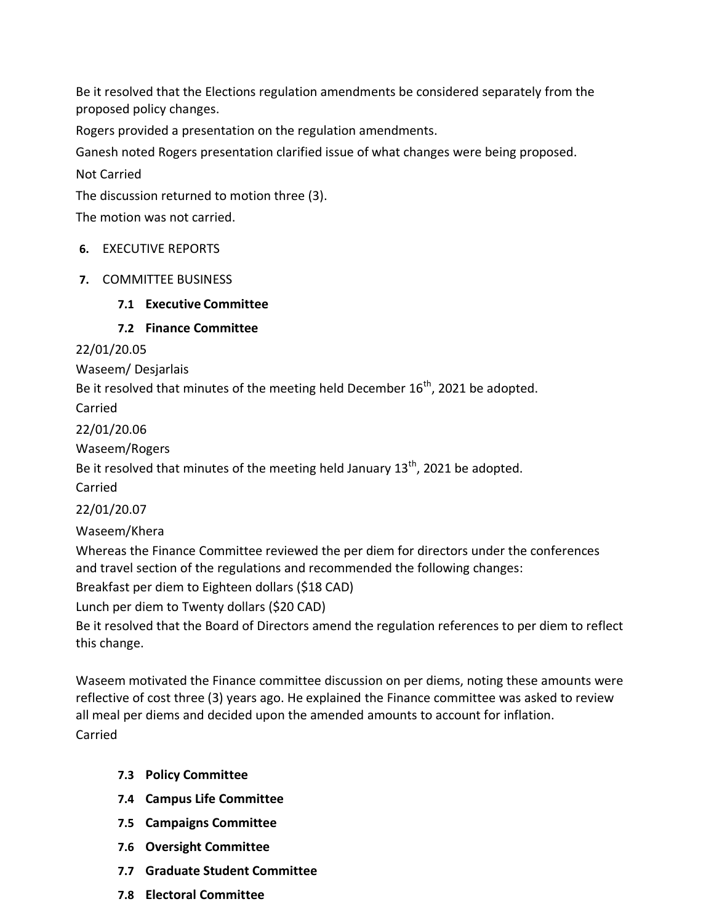Be it resolved that the Elections regulation amendments be considered separately from the proposed policy changes.

Rogers provided a presentation on the regulation amendments.

Ganesh noted Rogers presentation clarified issue of what changes were being proposed.

Not Carried

The discussion returned to motion three (3).

The motion was not carried.

#### **6.** EXECUTIVE REPORTS

- **7.** COMMITTEE BUSINESS
	- **7.1 Executive Committee**

**7.2 Finance Committee**

22/01/20.05

Waseem/ Desjarlais

Be it resolved that minutes of the meeting held December  $16^{th}$ . 2021 be adopted.

Carried

22/01/20.06

Waseem/Rogers

Be it resolved that minutes of the meeting held January  $13<sup>th</sup>$ , 2021 be adopted.

Carried

22/01/20.07

Waseem/Khera

Whereas the Finance Committee reviewed the per diem for directors under the conferences and travel section of the regulations and recommended the following changes:

Breakfast per diem to Eighteen dollars (\$18 CAD)

Lunch per diem to Twenty dollars (\$20 CAD)

Be it resolved that the Board of Directors amend the regulation references to per diem to reflect this change.

Waseem motivated the Finance committee discussion on per diems, noting these amounts were reflective of cost three (3) years ago. He explained the Finance committee was asked to review all meal per diems and decided upon the amended amounts to account for inflation. Carried

- **7.3 Policy Committee**
- **7.4 Campus Life Committee**
- **7.5 Campaigns Committee**
- **7.6 Oversight Committee**
- **7.7 Graduate Student Committee**
- **7.8 Electoral Committee**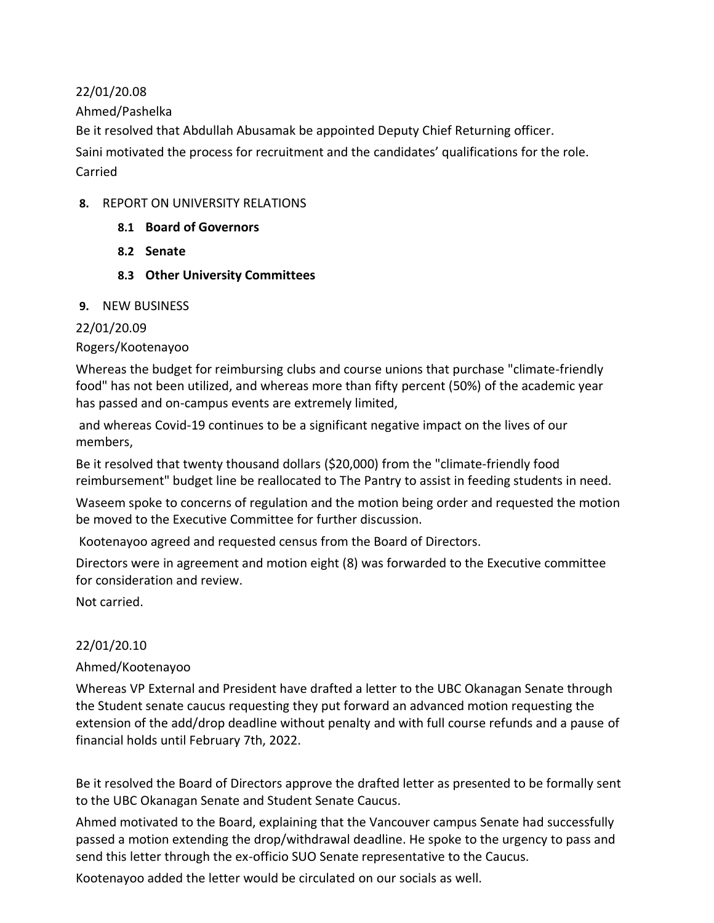22/01/20.08

Ahmed/Pashelka

Be it resolved that Abdullah Abusamak be appointed Deputy Chief Returning officer.

Saini motivated the process for recruitment and the candidates' qualifications for the role. Carried

#### **8.** REPORT ON UNIVERSITY RELATIONS

- **8.1 Board of Governors**
- **8.2 Senate**
- **8.3 Other University Committees**

#### **9.** NEW BUSINESS

## 22/01/20.09

## Rogers/Kootenayoo

Whereas the budget for reimbursing clubs and course unions that purchase "climate-friendly food" has not been utilized, and whereas more than fifty percent (50%) of the academic year has passed and on-campus events are extremely limited,

and whereas Covid-19 continues to be a significant negative impact on the lives of our members,

Be it resolved that twenty thousand dollars (\$20,000) from the "climate-friendly food reimbursement" budget line be reallocated to The Pantry to assist in feeding students in need.

Waseem spoke to concerns of regulation and the motion being order and requested the motion be moved to the Executive Committee for further discussion.

Kootenayoo agreed and requested census from the Board of Directors.

Directors were in agreement and motion eight (8) was forwarded to the Executive committee for consideration and review.

Not carried.

# 22/01/20.10

# Ahmed/Kootenayoo

Whereas VP External and President have drafted a letter to the UBC Okanagan Senate through the Student senate caucus requesting they put forward an advanced motion requesting the extension of the add/drop deadline without penalty and with full course refunds and a pause of financial holds until February 7th, 2022.

Be it resolved the Board of Directors approve the drafted letter as presented to be formally sent to the UBC Okanagan Senate and Student Senate Caucus.

Ahmed motivated to the Board, explaining that the Vancouver campus Senate had successfully passed a motion extending the drop/withdrawal deadline. He spoke to the urgency to pass and send this letter through the ex-officio SUO Senate representative to the Caucus.

Kootenayoo added the letter would be circulated on our socials as well.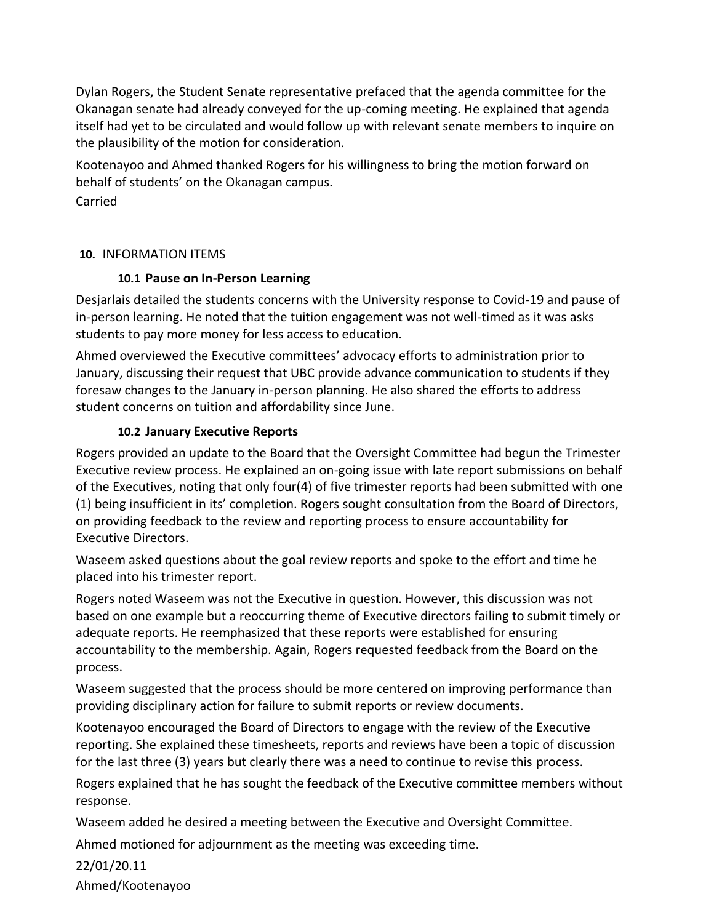Dylan Rogers, the Student Senate representative prefaced that the agenda committee for the Okanagan senate had already conveyed for the up-coming meeting. He explained that agenda itself had yet to be circulated and would follow up with relevant senate members to inquire on the plausibility of the motion for consideration.

Kootenayoo and Ahmed thanked Rogers for his willingness to bring the motion forward on behalf of students' on the Okanagan campus.

Carried

## **10.** INFORMATION ITEMS

## **10.1 Pause on In-Person Learning**

Desjarlais detailed the students concerns with the University response to Covid-19 and pause of in-person learning. He noted that the tuition engagement was not well-timed as it was asks students to pay more money for less access to education.

Ahmed overviewed the Executive committees' advocacy efforts to administration prior to January, discussing their request that UBC provide advance communication to students if they foresaw changes to the January in-person planning. He also shared the efforts to address student concerns on tuition and affordability since June.

# **10.2 January Executive Reports**

Rogers provided an update to the Board that the Oversight Committee had begun the Trimester Executive review process. He explained an on-going issue with late report submissions on behalf of the Executives, noting that only four(4) of five trimester reports had been submitted with one (1) being insufficient in its' completion. Rogers sought consultation from the Board of Directors, on providing feedback to the review and reporting process to ensure accountability for Executive Directors.

Waseem asked questions about the goal review reports and spoke to the effort and time he placed into his trimester report.

Rogers noted Waseem was not the Executive in question. However, this discussion was not based on one example but a reoccurring theme of Executive directors failing to submit timely or adequate reports. He reemphasized that these reports were established for ensuring accountability to the membership. Again, Rogers requested feedback from the Board on the process.

Waseem suggested that the process should be more centered on improving performance than providing disciplinary action for failure to submit reports or review documents.

Kootenayoo encouraged the Board of Directors to engage with the review of the Executive reporting. She explained these timesheets, reports and reviews have been a topic of discussion for the last three (3) years but clearly there was a need to continue to revise this process.

Rogers explained that he has sought the feedback of the Executive committee members without response.

Waseem added he desired a meeting between the Executive and Oversight Committee.

Ahmed motioned for adjournment as the meeting was exceeding time.

22/01/20.11 Ahmed/Kootenayoo